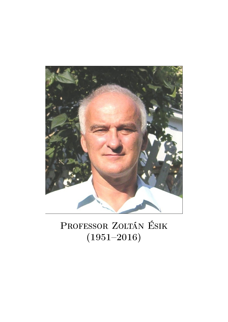

## PROFESSOR ZOLTÁN ÉSIK (1951–2016)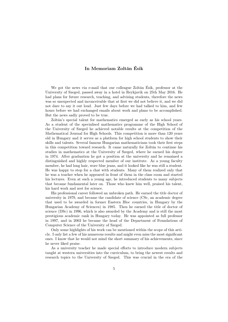## In Memoriam Zoltán Ésik

We got the news via e-mail that our colleague Zoltán Ésik, professor at the University of Szeged, passed away in a hotel in Reykjavik on 25th May 2016. He had plans for future research, teaching, and advising students, therefore the news was so unexpected and inconceivable that at first we did not believe it, and we did not dare to say it out loud. Just few days before we had talked to him, and few hours before we had exchanged emails about work and plans to be accomplished. But the news sadly proved to be true.

Zoltán's special talent for mathematics emerged as early as his school years. As a student of the specialised mathematics programme of the High School of the University of Szeged he achieved notable results at the competition of the Mathematical Journal for High Schools. This competition is more than 120 years old in Hungary and it serves as a platform for high school students to show their skills and talents. Several famous Hungarian mathematicians took their first steps in this competition toward research. It came naturally for Zoltán to continue his studies in mathematics at the University of Szeged, where he earned his degree in 1974. After graduation he got a position at the university and he remained a distinguished and highly respected member of our institute. As a young faculty member, he had long hair, wore blue jeans, and it looked like he was still a student. He was happy to stop for a chat with students. Many of them realized only that he was a teacher when he appeared in front of them in the class room and started his lectures. Even at such a young age, he introduced students to many subjects that became fundamental later on. Those who knew him well, praised his talent, his hard work and zest for science.

His professional career followed an unbroken path. He earned the title doctor of university in 1979, and became the candidate of science (CSc, an academic degree that used to be awarded in former Eastern Bloc countries, in Hungary by the Hungarian Academy of Sciences) in 1985. Then he earned the title of doctor of science (DSc) in 1996, which is also awarded by the Academy and is still the most prestigious academic rank in Hungary today. He was appointed as full professor in 1997, and in 2003 he became the head of the Department of Foundations of Computer Science of the University of Szeged.

Only some highlights of his work can be mentioned within the scope of this article. I only list a few of his numerous results and might even miss the most significant ones. I know that he would not mind the short summary of his achievements, since he never liked praise.

As a university teacher he made special efforts to introduce modern subjects taught at western universities into the curriculum, to bring the newest results and research topics to the University of Szeged. This was crucial in the era of the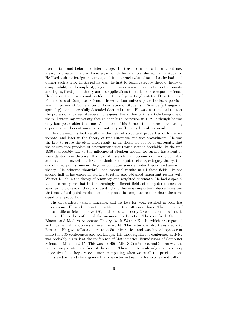iron curtain and before the internet age. He travelled a lot to learn about new ideas, to broaden his own knowledge, which he later transferred to his students. He liked visiting foreign institutes, and it is a cruel twist of fate, that he had died during such a trip. In Szeged he was the first to teach category theory, theory of computability and complexity, logic in computer science, connections of automata and logics, fixed point theory and its applications to students of computer science. He devised the educational profile and the subjects taught at the Department of Foundations of Computer Science. He wrote four university textbooks, supervised winning papers at Conferences of Association of Students in Science (a Hungarian specialty), and successfully defended doctoral theses. He was instrumental to start the professional career of several colleagues, the author of this article being one of them. I wrote my university thesis under his supervision in 1979, although he was only four years older than me. A number of his former students are now leading experts or teachers at universities, not only in Hungary but also abroad.

He obtained his first results in the field of structural properties of finite automata, and later in the theory of tree automata and tree transducers. He was the first to prove the often cited result, in his thesis for doctor of university, that the equivalence problem of deterministic tree transducers is decidable. In the mid 1980's, probably due to the influence of Stephen Bloom, he turned his attention towards iteration theories. His field of research later became even more complex, and extended towards algebraic methods in computer science, category theory, theory of fixed points, modern logic in computer science, order theory, and semiring theory. He achieved thoughtful and essential results in all these fields. In the second half of his career he worked together and obtained important results with Werner Kuich in the theory of semirings and weighted automata. He had a special talent to recognize that in the seemingly different fields of computer science the same principles are in effect and used. One of his most important observations was that most fixed point models commonly used in computer science share the same equational properties.

His unparalleled talent, diligence, and his love for work resulted in countless publications. He worked together with more than 40 co-authors. The number of his scientific articles is above 230, and he edited nearly 30 collections of scientific papers. He is the author of the monographs Iteration Theories (with Stephen Bloom) and Modern Automata Theory (with Werner Kuich) which are regarded as fundamental handbooks all over the world. The latter was also translated into Russian. He gave talks at more than 50 universities, and was invited speaker at more than 30 conferences and workshops. His most significant conference activity was probably his talk at the conference of Mathematical Foundations of Computer Science in Milan in 2015. This was the 40th MFCS Conference, and Zoltán was the 'anniversary invited speaker' of the event. These numbers already alone are very impressive, but they are even more compelling when we recall the precision, the high standard, and the elegance that characterised each of his articles and talks.